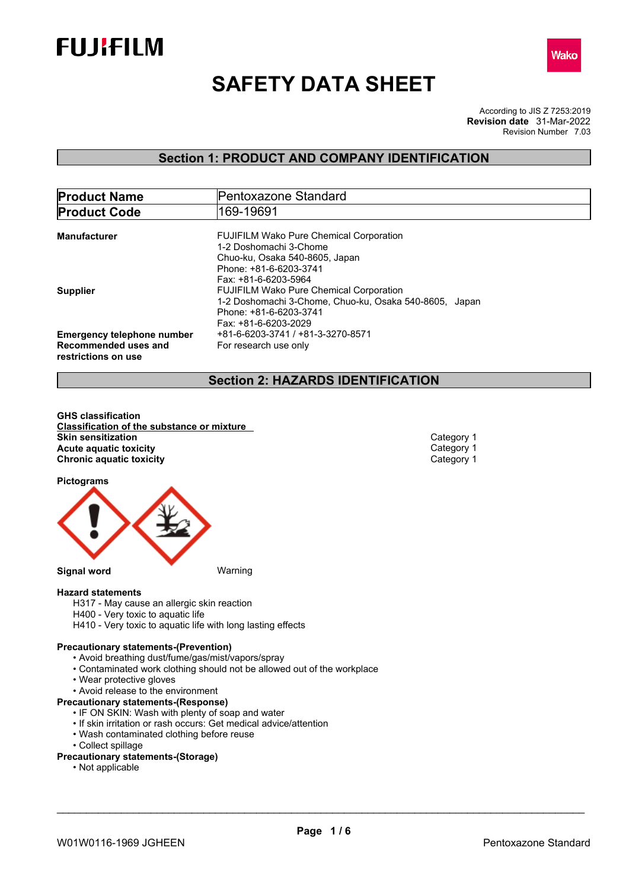



# **SAFETY DATA SHEET**

According to JIS Z 7253:2019 Revision Number 7.03 **Revision date** 31-Mar-2022

## **Section 1: PRODUCT AND COMPANY IDENTIFICATION**

| <b>Product Name</b>               | Pentoxazone Standard                                   |  |  |
|-----------------------------------|--------------------------------------------------------|--|--|
| <b>Product Code</b>               | 169-19691                                              |  |  |
|                                   |                                                        |  |  |
| Manufacturer                      | <b>FUJIFILM Wako Pure Chemical Corporation</b>         |  |  |
|                                   | 1-2 Doshomachi 3-Chome                                 |  |  |
|                                   | Chuo-ku, Osaka 540-8605, Japan                         |  |  |
|                                   | Phone: +81-6-6203-3741                                 |  |  |
|                                   | Fax: +81-6-6203-5964                                   |  |  |
| <b>Supplier</b>                   | <b>FUJIFILM Wako Pure Chemical Corporation</b>         |  |  |
|                                   | 1-2 Doshomachi 3-Chome, Chuo-ku, Osaka 540-8605, Japan |  |  |
|                                   | Phone: +81-6-6203-3741                                 |  |  |
|                                   | Fax: +81-6-6203-2029                                   |  |  |
| <b>Emergency telephone number</b> | +81-6-6203-3741 / +81-3-3270-8571                      |  |  |
| Recommended uses and              | For research use only                                  |  |  |
|                                   |                                                        |  |  |
| restrictions on use               |                                                        |  |  |

## **Section 2: HAZARDS IDENTIFICATION**

**GHS classification Classification of the substance or mixture Skin sensitization**<br> **Acute aquatic toxicity**<br> **Acute aquatic toxicity Acute** aquatic toxicity<br> **Category 1** Chronic aquatic toxicity<br>
Category 1 **Chronic aquatic toxicity** 

**Pictograms**



**Hazard statements**

- H317 May cause an allergic skin reaction
- H400 Very toxic to aquatic life
- H410 Very toxic to aquatic life with long lasting effects

## **Precautionary statements-(Prevention)**

- Avoid breathing dust/fume/gas/mist/vapors/spray
- Contaminated work clothing should not be allowed out of the workplace
- Wear protective gloves
- Avoid release to the environment

## **Precautionary statements-(Response)**

- IF ON SKIN: Wash with plenty of soap and water
- If skin irritation or rash occurs: Get medical advice/attention
- Wash contaminated clothing before reuse
- Collect spillage
- **Precautionary statements-(Storage)**
	- Not applicable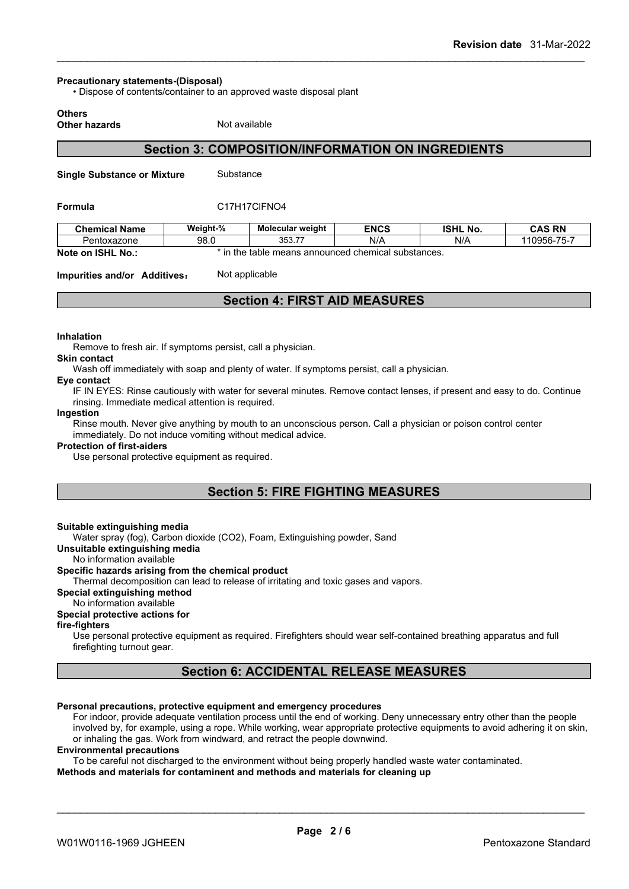#### **Precautionary statements-(Disposal)**

• Dispose of contents/container to an approved waste disposal plant

## **Others**

**Other hazards** Not available

## **Section 3: COMPOSITION/INFORMATION ON INGREDIENTS**

**Single Substance or Mixture** Substance

#### **Formula** C17H17ClFNO4

| <b>Chemical Name</b>   | Weight-%                 | <b>Molecular weight</b> | <b>ENCS</b>                            | <b>ISHL No.</b> | <b>CAS RN</b>          |
|------------------------|--------------------------|-------------------------|----------------------------------------|-----------------|------------------------|
| Pentoxazone            | 98.0                     | --<br>ふどび<br>JJJ.II     | N/A                                    | N/A             | ---<br>$110956 - 75 -$ |
| Note on ISHL<br>. No.: | he the<br>$\overline{ }$ | table                   | e means announced chemical substances. |                 |                        |

**Impurities and/or Additives:** Not applicable

## **Section 4: FIRST AID MEASURES**

#### **Inhalation**

Remove to fresh air. If symptoms persist, call a physician.

#### **Skin contact**

Wash off immediately with soap and plenty of water. If symptoms persist, call a physician.

#### **Eye contact**

IF IN EYES: Rinse cautiously with water for several minutes. Remove contact lenses, if present and easy to do. Continue rinsing. Immediate medical attention is required.

#### **Ingestion**

Rinse mouth. Never give anything by mouth to an unconscious person. Call a physician or poison control center immediately. Do not induce vomiting without medical advice.

#### **Protection of first-aiders**

Use personal protective equipment as required.

## **Section 5: FIRE FIGHTING MEASURES**

#### **Suitable extinguishing media**

Water spray (fog), Carbon dioxide (CO2), Foam, Extinguishing powder, Sand

**Unsuitable extinguishing media**

No information available

## **Specific hazards arising from the chemical product**

Thermal decomposition can lead to release of irritating and toxic gases and vapors.

## **Special extinguishing method**

## No information available

## **Special protective actions for**

## **fire-fighters**

Use personal protective equipment as required.Firefighters should wear self-contained breathing apparatus and full firefighting turnout gear.

## **Section 6: ACCIDENTAL RELEASE MEASURES**

## **Personal precautions, protective equipment and emergency procedures**

For indoor, provide adequate ventilation process until the end of working. Deny unnecessary entry other than the people involved by, for example, using a rope. While working, wear appropriate protective equipments to avoid adhering it on skin, or inhaling the gas. Work from windward, and retract the people downwind.

#### **Environmental precautions**

To be careful not discharged to the environment without being properly handled waste water contaminated.

**Methods and materials for contaminent and methods and materials for cleaning up**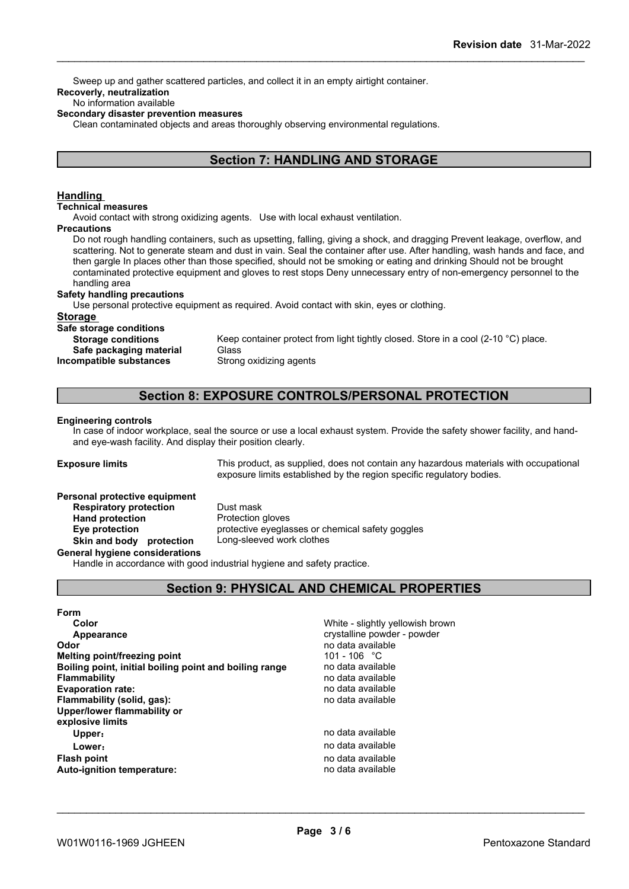Sweep up and gather scattered particles, and collect it in an empty airtight container.

## **Recoverly, neutralization**

## No information available

**Secondary disaster prevention measures**

Clean contaminated objects and areas thoroughly observing environmental regulations.

## **Section 7: HANDLING AND STORAGE**

## **Handling**

#### **Technical measures**

Avoid contact with strong oxidizing agents. Use with local exhaust ventilation.

#### **Precautions**

Do not rough handling containers, such as upsetting, falling, giving a shock, and dragging Prevent leakage, overflow, and scattering. Not to generate steam and dust in vain. Seal the container after use. After handling, wash hands and face, and then gargle In places other than those specified, should not be smoking or eating and drinking Should not be brought contaminated protective equipment and gloves to rest stops Deny unnecessary entry of non-emergency personnel to the handling area

## **Safety handling precautions**

Use personal protective equipment as required.Avoid contact with skin, eyes or clothing.

#### **Storage**

**Safe storage conditions**

**Storage conditions** Keep container protect from light tightly closed. Store in a cool (2-10 °C) place. **Safe packaging material** Glass

**Incompatible substances** Strong oxidizing agents

## **Section 8: EXPOSURE CONTROLS/PERSONAL PROTECTION**

#### **Engineering controls**

In case of indoor workplace, seal the source or use a local exhaust system. Provide the safety shower facility, and handand eye-wash facility. And display their position clearly.

**Exposure limits** This product, as supplied, does not contain any hazardous materials with occupational exposure limits established by the region specific regulatory bodies.

## **Personal protective equipment**

**Respiratory protection** Dust mask **Hand protection** Protection gloves **Skin and body protection** Long-sleeved work clothes

**Eye protection** protective eyeglasses or chemical safety goggles

#### **General hygiene considerations**

Handle in accordance with good industrial hygiene and safety practice.

## **Section 9: PHYSICAL AND CHEMICAL PROPERTIES**

| Form                                                   |                                  |
|--------------------------------------------------------|----------------------------------|
| Color                                                  | White - slightly yellowish brown |
| Appearance                                             | crystalline powder - powder      |
| Odor                                                   | no data available                |
| Melting point/freezing point                           | 101 - 106 °C                     |
| Boiling point, initial boiling point and boiling range | no data available                |
| <b>Flammability</b>                                    | no data available                |
| <b>Evaporation rate:</b>                               | no data available                |
| Flammability (solid, gas):                             | no data available                |
| Upper/lower flammability or                            |                                  |
| explosive limits                                       |                                  |
| Upper:                                                 | no data available                |
| Lower:                                                 | no data available                |
| Flash point                                            | no data available                |
| <b>Auto-ignition temperature:</b>                      | no data available                |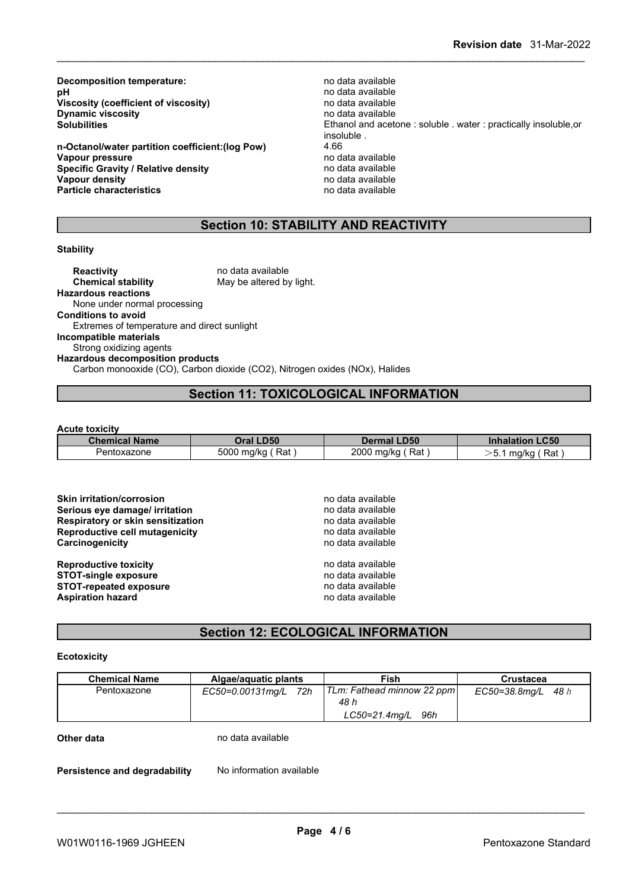**Decomposition temperature:**<br> **pH** no data available<br>
no data available **Viscosity (coefficient of viscosity)** no data available<br> **Dynamic viscosity on the available Dynamic viscosity**<br>Solubilities

**n-Octanol/water partition coefficient:(log Pow)** 4.66 **Vapour pressure** no data available<br> **Specific Gravity / Relative density provided** no data available **Specific Gravity / Relative density and the control of the Vapour density Vapour density v Vapour density Vapour density**<br> **Particle characteristics**<br> **Particle characteristics**<br> **Particle characteristics Particle characteristics** 

**pH** no data available Ethanol and acetone : soluble . water : practically insoluble,or insoluble.<br>4.66

## **Section 10: STABILITY AND REACTIVITY**

## **Stability**

**Reactivity** no data available<br> **Chemical stability** May be altered by May be altered by light. **Hazardous reactions** None under normal processing **Conditions to avoid** Extremes of temperature and direct sunlight **Incompatible materials** Strong oxidizing agents **Hazardous decomposition products** Carbon monooxide (CO), Carbon dioxide (CO2), Nitrogen oxides (NOx), Halides

## **Section 11: TOXICOLOGICAL INFORMATION**

#### **Acute toxicity**

| <b>Chemical Name</b> | Oral LD50         | <b>Dermal LD50</b> | <b>Inhalation LC50</b>      |
|----------------------|-------------------|--------------------|-----------------------------|
| Pentoxazone          | 5000 mg/kg<br>Rat | 2000 mg/kg<br>Rat  | Rat<br>、斥<br>mg/kg<br>ັບ. . |

| <b>Skin irritation/corrosion</b><br>Serious eye damage/ irritation | no data available<br>no data available |  |
|--------------------------------------------------------------------|----------------------------------------|--|
| <b>Respiratory or skin sensitization</b>                           | no data available                      |  |
| <b>Reproductive cell mutagenicity</b>                              | no data available                      |  |
| Carcinogenicity                                                    | no data available                      |  |
| <b>Reproductive toxicity</b>                                       | no data available                      |  |
| <b>STOT-single exposure</b>                                        | no data available                      |  |
| <b>STOT-repeated exposure</b>                                      | no data available                      |  |
| <b>Aspiration hazard</b>                                           | no data available                      |  |

## **Section 12: ECOLOGICAL INFORMATION**

#### **Ecotoxicity**

| <b>Chemical Name</b> | Algae/aguatic plants    | Fish                       | Crustacea               |
|----------------------|-------------------------|----------------------------|-------------------------|
| Pentoxazone          | 72h<br>EC50=0.00131mq/L | TLm: Fathead minnow 22 ppm | $EC50 = 38.8$ mg/L 48 h |
|                      |                         | 48 h                       |                         |
|                      |                         | LC50=21.4mg/L 96h          |                         |
| Other data           | no data available       |                            |                         |

| Persistence and degradability | No information available |  |
|-------------------------------|--------------------------|--|
|-------------------------------|--------------------------|--|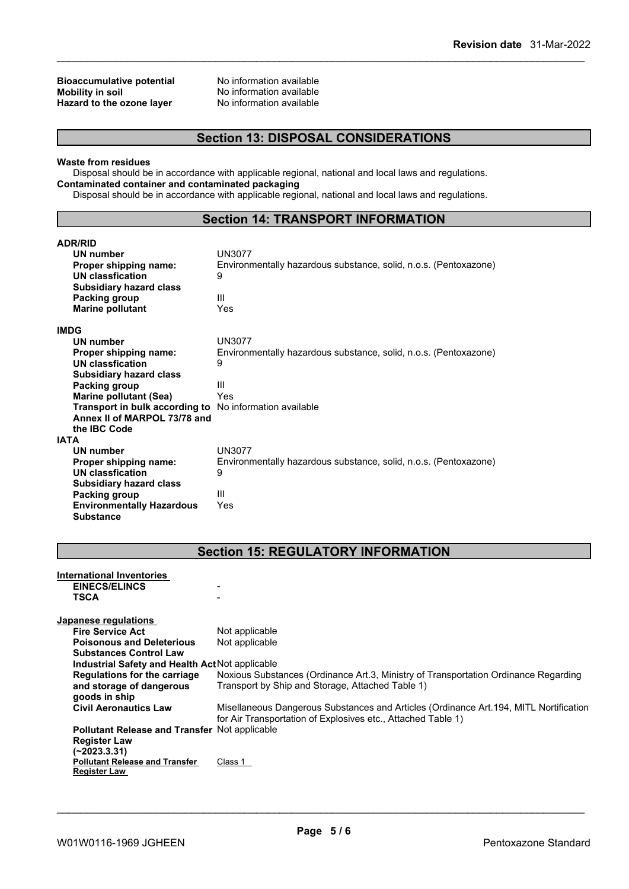## **Bioaccumulative potential** No information available<br> **Mobility in soil Mobility No information available Hazard** to the ozone layer

No information available<br>No information available

## **Section 13: DISPOSAL CONSIDERATIONS**

#### **Waste from residues**

Disposal should be in accordance with applicable regional, national and local laws and regulations. **Contaminated container and contaminated packaging**

Disposal should be in accordance with applicable regional, national and local laws and regulations.

## **Section 14: TRANSPORT INFORMATION**

| <b>ADR/RID</b>                   |                                                                  |
|----------------------------------|------------------------------------------------------------------|
| <b>UN number</b>                 | UN3077                                                           |
| Proper shipping name:            | Environmentally hazardous substance, solid, n.o.s. (Pentoxazone) |
| <b>UN classfication</b>          | 9                                                                |
| <b>Subsidiary hazard class</b>   |                                                                  |
| Packing group                    | Ш                                                                |
| <b>Marine pollutant</b>          | Yes                                                              |
| <b>IMDG</b>                      |                                                                  |
| <b>UN number</b>                 | UN3077                                                           |
| Proper shipping name:            | Environmentally hazardous substance, solid, n.o.s. (Pentoxazone) |
| UN classfication                 | 9                                                                |
| <b>Subsidiary hazard class</b>   |                                                                  |
| Packing group                    | Ш                                                                |
| <b>Marine pollutant (Sea)</b>    | Yes                                                              |
| Transport in bulk according to   | No information available                                         |
| Annex II of MARPOL 73/78 and     |                                                                  |
| the <b>IBC</b> Code              |                                                                  |
| <b>IATA</b>                      |                                                                  |
| <b>UN number</b>                 | <b>UN3077</b>                                                    |
| Proper shipping name:            | Environmentally hazardous substance, solid, n.o.s. (Pentoxazone) |
| <b>UN classfication</b>          | 9                                                                |
| <b>Subsidiary hazard class</b>   |                                                                  |
| Packing group                    | Ш                                                                |
| <b>Environmentally Hazardous</b> | Yes                                                              |
| <b>Substance</b>                 |                                                                  |

## **Section 15: REGULATORY INFORMATION**

| International Inventories<br><b>EINECS/ELINCS</b><br><b>TSCA</b> |                                                                                                                                                        |
|------------------------------------------------------------------|--------------------------------------------------------------------------------------------------------------------------------------------------------|
| Japanese regulations                                             |                                                                                                                                                        |
| <b>Fire Service Act</b>                                          | Not applicable                                                                                                                                         |
| <b>Poisonous and Deleterious</b>                                 | Not applicable                                                                                                                                         |
| <b>Substances Control Law</b>                                    |                                                                                                                                                        |
|                                                                  | Industrial Safety and Health Act Not applicable                                                                                                        |
| <b>Regulations for the carriage</b><br>and storage of dangerous  | Noxious Substances (Ordinance Art.3, Ministry of Transportation Ordinance Regarding<br>Transport by Ship and Storage, Attached Table 1)                |
| goods in ship                                                    |                                                                                                                                                        |
| <b>Civil Aeronautics Law</b>                                     | Misellaneous Dangerous Substances and Articles (Ordinance Art. 194, MITL Nortification<br>for Air Transportation of Explosives etc., Attached Table 1) |
|                                                                  | <b>Pollutant Release and Transfer Not applicable</b>                                                                                                   |
| <b>Register Law</b><br>(~2023.3.31)                              |                                                                                                                                                        |
| <b>Pollutant Release and Transfer</b><br><b>Register Law</b>     | Class 1                                                                                                                                                |
|                                                                  |                                                                                                                                                        |